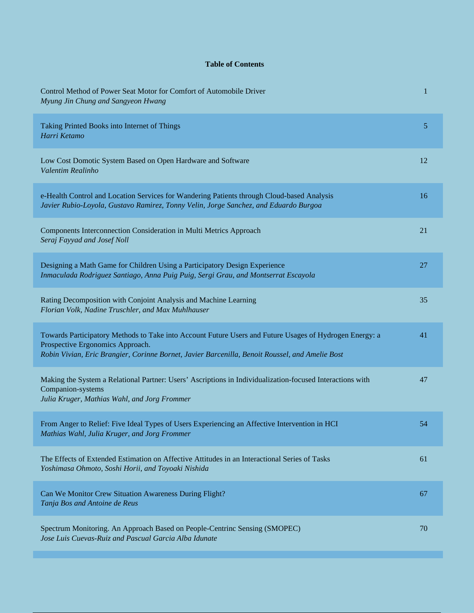## **Table of Contents**

| Control Method of Power Seat Motor for Comfort of Automobile Driver<br>Myung Jin Chung and Sangyeon Hwang                                                                                                                                      | 1  |
|------------------------------------------------------------------------------------------------------------------------------------------------------------------------------------------------------------------------------------------------|----|
| Taking Printed Books into Internet of Things<br>Harri Ketamo                                                                                                                                                                                   | 5  |
| Low Cost Domotic System Based on Open Hardware and Software<br>Valentim Realinho                                                                                                                                                               | 12 |
| e-Health Control and Location Services for Wandering Patients through Cloud-based Analysis<br>Javier Rubio-Loyola, Gustavo Ramirez, Tonny Velin, Jorge Sanchez, and Eduardo Burgoa                                                             | 16 |
| Components Interconnection Consideration in Multi Metrics Approach<br>Seraj Fayyad and Josef Noll                                                                                                                                              | 21 |
| Designing a Math Game for Children Using a Participatory Design Experience<br>Inmaculada Rodriguez Santiago, Anna Puig Puig, Sergi Grau, and Montserrat Escayola                                                                               | 27 |
| Rating Decomposition with Conjoint Analysis and Machine Learning<br>Florian Volk, Nadine Truschler, and Max Muhlhauser                                                                                                                         | 35 |
| Towards Participatory Methods to Take into Account Future Users and Future Usages of Hydrogen Energy: a<br>Prospective Ergonomics Approach.<br>Robin Vivian, Eric Brangier, Corinne Bornet, Javier Barcenilla, Benoit Roussel, and Amelie Bost | 41 |
| Making the System a Relational Partner: Users' Ascriptions in Individualization-focused Interactions with<br>Companion-systems<br>Julia Kruger, Mathias Wahl, and Jorg Frommer                                                                 | 47 |
| From Anger to Relief: Five Ideal Types of Users Experiencing an Affective Intervention in HCI<br>Mathias Wahl, Julia Kruger, and Jorg Frommer                                                                                                  | 54 |
| The Effects of Extended Estimation on Affective Attitudes in an Interactional Series of Tasks<br>Yoshimasa Ohmoto, Soshi Horii, and Toyoaki Nishida                                                                                            | 61 |
| Can We Monitor Crew Situation Awareness During Flight?<br>Tanja Bos and Antoine de Reus                                                                                                                                                        | 67 |
| Spectrum Monitoring. An Approach Based on People-Centrinc Sensing (SMOPEC)<br>Jose Luis Cuevas-Ruiz and Pascual Garcia Alba Idunate                                                                                                            | 70 |